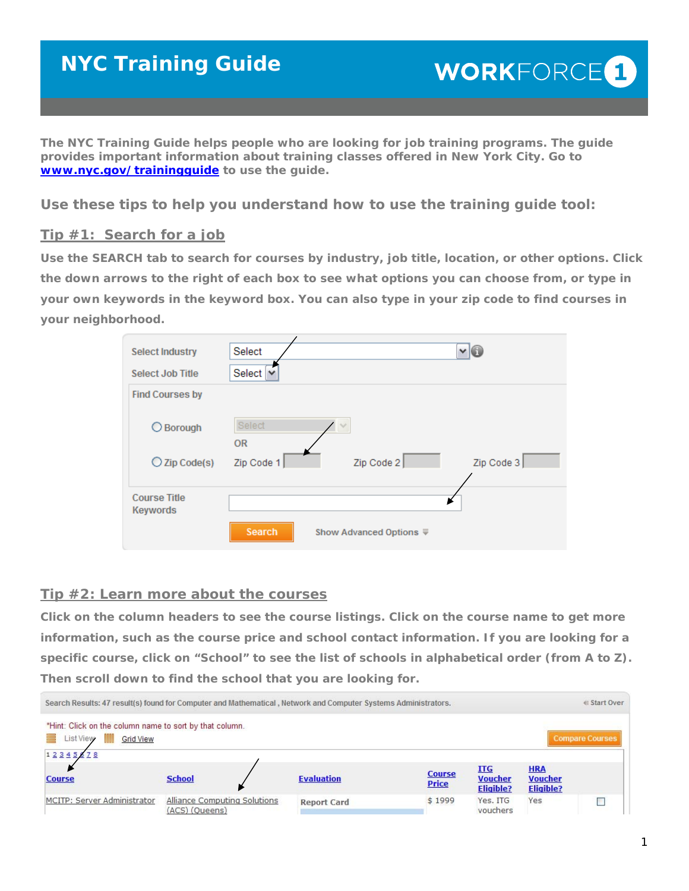# **NYC Training Guide**

**The NYC Training Guide helps people who are looking for job training programs. The guide provides important information about training classes offered in New York City. Go to www.nyc.gov/trainingguide to use the guide.** 

*Use these tips to help you understand how to use the training guide tool:* 

## **Tip #1: Search for a job**

**Use the SEARCH tab to search for courses by industry, job title, location, or other options. Click the down arrows to the right of each box to see what options you can choose from, or type in your own keywords in the keyword box. You can also type in your zip code to find courses in your neighborhood.** 

| <b>Select Industry</b>          | Select                            |            | $\mathsf{v} \mathsf{f}$ |  |  |
|---------------------------------|-----------------------------------|------------|-------------------------|--|--|
| <b>Select Job Title</b>         | Select<br>$\checkmark$            |            |                         |  |  |
| <b>Find Courses by</b>          |                                   |            |                         |  |  |
| ◯ Borough                       | Select<br><b>OR</b>               |            |                         |  |  |
| $\bigcirc$ Zip Code(s)          | Zip Code 1                        | Zip Code 2 | Zip Code 3              |  |  |
|                                 |                                   |            |                         |  |  |
| <b>Course Title</b><br>Keywords |                                   |            |                         |  |  |
|                                 | Search<br>Show Advanced Options ₹ |            |                         |  |  |

## **Tip #2: Learn more about the courses**

**Click on the column headers to see the course listings. Click on the course name to get more information, such as the course price and school contact information. If you are looking for a specific course, click on "School" to see the list of schools in alphabetical order (from A to Z). Then scroll down to find the school that you are looking for.**